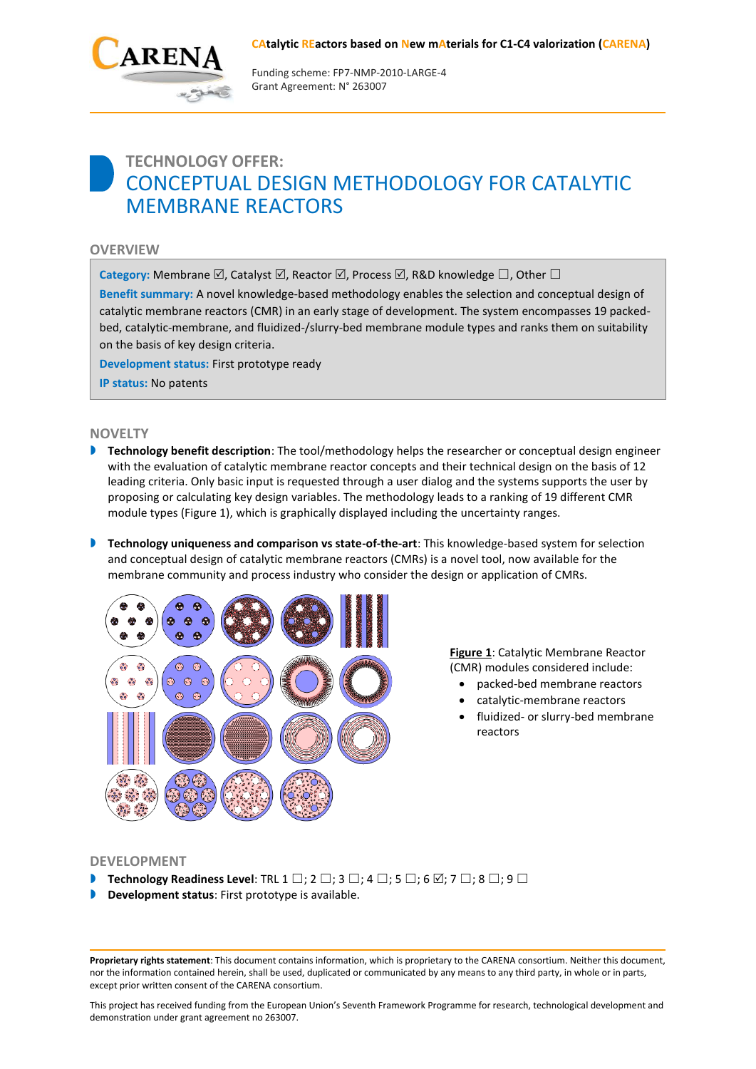#### **CAtalytic REactors based on New mAterials for C1-C4 valorization (CARENA)**



Funding scheme: FP7‐NMP‐2010‐LARGE‐4 Grant Agreement: N° 263007

# **TECHNOLOGY OFFER:** CONCEPTUAL DESIGN METHODOLOGY FOR CATALYTIC MEMBRANE REACTORS

## **OVERVIEW**

**Category:** Membrane  $\boxtimes$ , Catalyst  $\boxtimes$ , Reactor  $\boxtimes$ , Process  $\boxtimes$ , R&D knowledge  $□$ , Other □

**Benefit summary:** A novel knowledge-based methodology enables the selection and conceptual design of catalytic membrane reactors (CMR) in an early stage of development. The system encompasses 19 packedbed, catalytic-membrane, and fluidized-/slurry-bed membrane module types and ranks them on suitability on the basis of key design criteria.

**Development status:** First prototype ready

**IP status:** No patents

## **NOVELTY**

- **Technology benefit description**: The tool/methodology helps the researcher or conceptual design engineer with the evaluation of catalytic membrane reactor concepts and their technical design on the basis of 12 leading criteria. Only basic input is requested through a user dialog and the systems supports the user by proposing or calculating key design variables. The methodology leads to a ranking of 19 different CMR module types (Figure 1), which is graphically displayed including the uncertainty ranges.
- **Technology uniqueness and comparison vs state-of-the-art:** This knowledge-based system for selection and conceptual design of catalytic membrane reactors (CMRs) is a novel tool, now available for the membrane community and process industry who consider the design or application of CMRs.



**Figure 1**: Catalytic Membrane Reactor (CMR) modules considered include:

- packed-bed membrane reactors
- catalytic-membrane reactors
- fluidized- or slurry-bed membrane reactors

#### **DEVELOPMENT**

- **Technology Readiness Level**: TRL 1  $\square$ ; 2  $\square$ ; 3  $\square$ ; 4  $\square$ ; 5  $\square$ ; 6  $\square$ ; 7  $\square$ ; 8  $\square$ ; 9  $\square$
- **Development status**: First prototype is available.

**Proprietary rights statement**: This document contains information, which is proprietary to the CARENA consortium. Neither this document, nor the information contained herein, shall be used, duplicated or communicated by any means to any third party, in whole or in parts, except prior written consent of the CARENA consortium.

This project has received funding from the European Union's Seventh Framework Programme for research, technological development and demonstration under grant agreement no 263007.